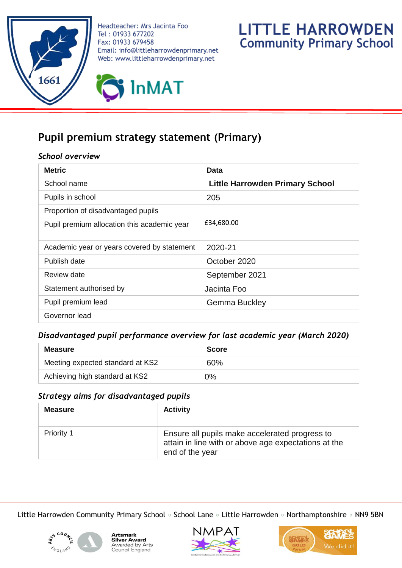

Headteacher: Mrs Jacinta Foo Tel: 01933 677202 Fax: 01933 679458 Email: info@littleharrowdenprimary.net Web: www.littleharrowdenprimary.net





# **Pupil premium strategy statement (Primary)**

## *School overview*

| <b>Metric</b>                               | Data                                   |
|---------------------------------------------|----------------------------------------|
| School name                                 | <b>Little Harrowden Primary School</b> |
| Pupils in school                            | 205                                    |
| Proportion of disadvantaged pupils          |                                        |
| Pupil premium allocation this academic year | £34,680.00                             |
| Academic year or years covered by statement | 2020-21                                |
| Publish date                                | October 2020                           |
| Review date                                 | September 2021                         |
| Statement authorised by                     | Jacinta Foo                            |
| Pupil premium lead                          | <b>Gemma Buckley</b>                   |
| Governor lead                               |                                        |

### *Disadvantaged pupil performance overview for last academic year (March 2020)*

| <b>Measure</b>                   | <b>Score</b> |
|----------------------------------|--------------|
| Meeting expected standard at KS2 | 60%          |
| Achieving high standard at KS2   | 0%           |

### *Strategy aims for disadvantaged pupils*

| <b>Measure</b>    | <b>Activity</b>                                                                                                           |
|-------------------|---------------------------------------------------------------------------------------------------------------------------|
| <b>Priority 1</b> | Ensure all pupils make accelerated progress to<br>attain in line with or above age expectations at the<br>end of the year |

Little Harrowden Community Primary School of School Lane of Little Harrowden of Northamptonshire of NN9 5BN







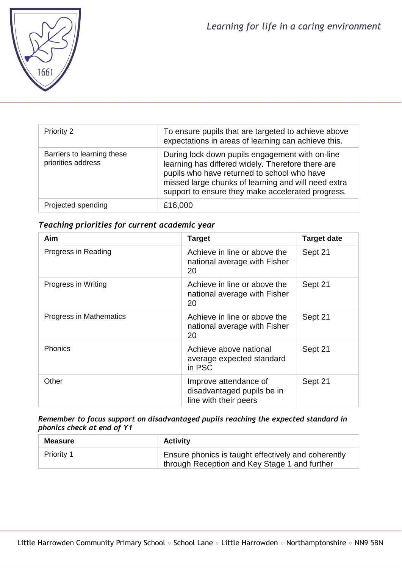

| <b>Priority 2</b>                                | To ensure pupils that are targeted to achieve above<br>expectations in areas of learning can achieve this.                                                                                                                                                      |
|--------------------------------------------------|-----------------------------------------------------------------------------------------------------------------------------------------------------------------------------------------------------------------------------------------------------------------|
| Barriers to learning these<br>priorities address | During lock down pupils engagement with on-line<br>learning has differed widely. Therefore there are<br>pupils who have returned to school who have<br>missed large chunks of learning and will need extra<br>support to ensure they make accelerated progress. |
| Projected spending                               | £16,000                                                                                                                                                                                                                                                         |

## *Teaching priorities for current academic year*

| Aim                     | <b>Target</b>                                                                | <b>Target date</b> |
|-------------------------|------------------------------------------------------------------------------|--------------------|
| Progress in Reading     | Achieve in line or above the<br>national average with Fisher<br>20           | Sept 21            |
| Progress in Writing     | Achieve in line or above the<br>national average with Fisher<br>20           | Sept 21            |
| Progress in Mathematics | Achieve in line or above the<br>national average with Fisher<br>20           | Sept 21            |
| <b>Phonics</b>          | Achieve above national<br>average expected standard<br>in PSC                | Sept 21            |
| Other                   | Improve attendance of<br>disadvantaged pupils be in<br>line with their peers | Sept 21            |

#### *Remember to focus support on disadvantaged pupils reaching the expected standard in phonics check at end of Y1*

| <b>Measure</b>    | <b>Activity</b>                                                                                      |
|-------------------|------------------------------------------------------------------------------------------------------|
| <b>Priority 1</b> | Ensure phonics is taught effectively and coherently<br>through Reception and Key Stage 1 and further |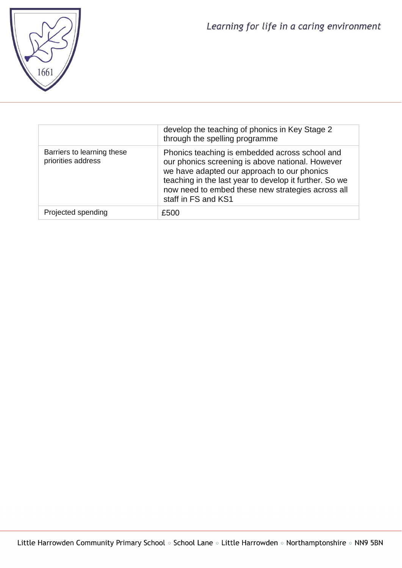

|                                                  | develop the teaching of phonics in Key Stage 2<br>through the spelling programme                                                                                                                                                                                                        |
|--------------------------------------------------|-----------------------------------------------------------------------------------------------------------------------------------------------------------------------------------------------------------------------------------------------------------------------------------------|
| Barriers to learning these<br>priorities address | Phonics teaching is embedded across school and<br>our phonics screening is above national. However<br>we have adapted our approach to our phonics<br>teaching in the last year to develop it further. So we<br>now need to embed these new strategies across all<br>staff in FS and KS1 |
| Projected spending                               | £500                                                                                                                                                                                                                                                                                    |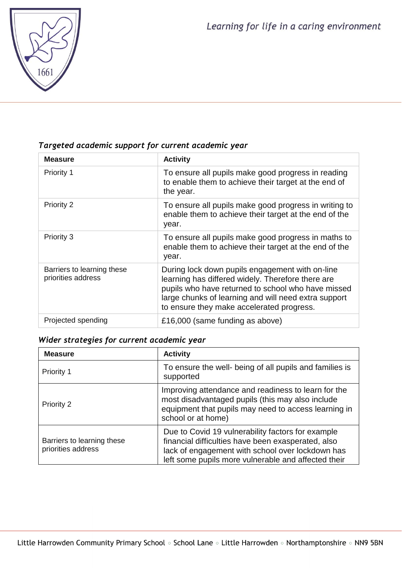

# *Targeted academic support for current academic year*

| <b>Measure</b>                                   | <b>Activity</b>                                                                                                                                                                                                                                                 |
|--------------------------------------------------|-----------------------------------------------------------------------------------------------------------------------------------------------------------------------------------------------------------------------------------------------------------------|
| Priority 1                                       | To ensure all pupils make good progress in reading<br>to enable them to achieve their target at the end of<br>the year.                                                                                                                                         |
| Priority 2                                       | To ensure all pupils make good progress in writing to<br>enable them to achieve their target at the end of the<br>year.                                                                                                                                         |
| Priority 3                                       | To ensure all pupils make good progress in maths to<br>enable them to achieve their target at the end of the<br>year.                                                                                                                                           |
| Barriers to learning these<br>priorities address | During lock down pupils engagement with on-line<br>learning has differed widely. Therefore there are<br>pupils who have returned to school who have missed<br>large chunks of learning and will need extra support<br>to ensure they make accelerated progress. |
| Projected spending                               | £16,000 (same funding as above)                                                                                                                                                                                                                                 |

# *Wider strategies for current academic year*

| <b>Measure</b>                                   | <b>Activity</b>                                                                                                                                                                                                    |
|--------------------------------------------------|--------------------------------------------------------------------------------------------------------------------------------------------------------------------------------------------------------------------|
| Priority 1                                       | To ensure the well- being of all pupils and families is<br>supported                                                                                                                                               |
| Priority 2                                       | Improving attendance and readiness to learn for the<br>most disadvantaged pupils (this may also include<br>equipment that pupils may need to access learning in<br>school or at home)                              |
| Barriers to learning these<br>priorities address | Due to Covid 19 vulnerability factors for example<br>financial difficulties have been exasperated, also<br>lack of engagement with school over lockdown has<br>left some pupils more vulnerable and affected their |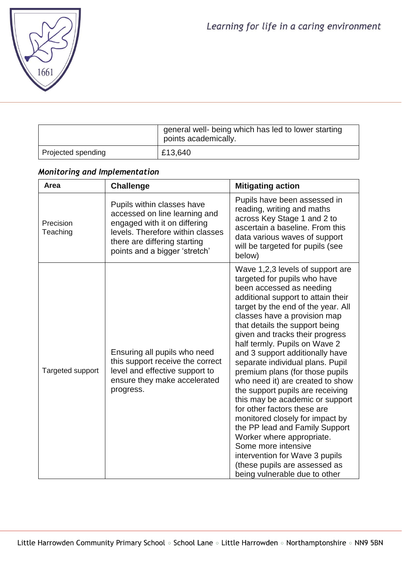

|                    | general well- being which has led to lower starting<br>points academically. |
|--------------------|-----------------------------------------------------------------------------|
| Projected spending | £13,640                                                                     |

# *Monitoring and Implementation*

| Area                  | <b>Challenge</b>                                                                                                                                                                                 | <b>Mitigating action</b>                                                                                                                                                                                                                                                                                                                                                                                                                                                                                                                                                                                                                                                                                                                                                                        |
|-----------------------|--------------------------------------------------------------------------------------------------------------------------------------------------------------------------------------------------|-------------------------------------------------------------------------------------------------------------------------------------------------------------------------------------------------------------------------------------------------------------------------------------------------------------------------------------------------------------------------------------------------------------------------------------------------------------------------------------------------------------------------------------------------------------------------------------------------------------------------------------------------------------------------------------------------------------------------------------------------------------------------------------------------|
| Precision<br>Teaching | Pupils within classes have<br>accessed on line learning and<br>engaged with it on differing<br>levels. Therefore within classes<br>there are differing starting<br>points and a bigger 'stretch' | Pupils have been assessed in<br>reading, writing and maths<br>across Key Stage 1 and 2 to<br>ascertain a baseline. From this<br>data various waves of support<br>will be targeted for pupils (see<br>below)                                                                                                                                                                                                                                                                                                                                                                                                                                                                                                                                                                                     |
| Targeted support      | Ensuring all pupils who need<br>this support receive the correct<br>level and effective support to<br>ensure they make accelerated<br>progress.                                                  | Wave 1,2,3 levels of support are<br>targeted for pupils who have<br>been accessed as needing<br>additional support to attain their<br>target by the end of the year. All<br>classes have a provision map<br>that details the support being<br>given and tracks their progress<br>half termly. Pupils on Wave 2<br>and 3 support additionally have<br>separate individual plans. Pupil<br>premium plans (for those pupils<br>who need it) are created to show<br>the support pupils are receiving<br>this may be academic or support<br>for other factors these are<br>monitored closely for impact by<br>the PP lead and Family Support<br>Worker where appropriate.<br>Some more intensive<br>intervention for Wave 3 pupils<br>(these pupils are assessed as<br>being vulnerable due to other |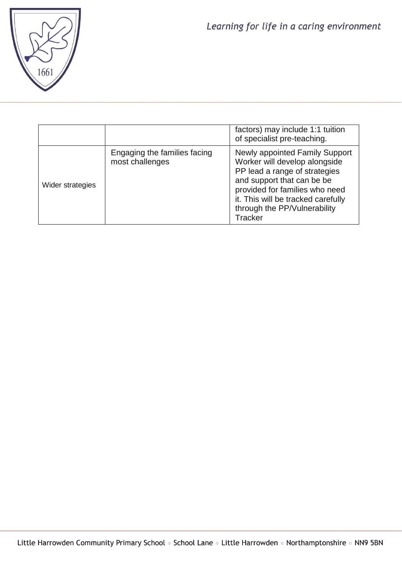

|                  |                                                 | factors) may include 1:1 tuition<br>of specialist pre-teaching.                                                                                                                                                                                                 |
|------------------|-------------------------------------------------|-----------------------------------------------------------------------------------------------------------------------------------------------------------------------------------------------------------------------------------------------------------------|
| Wider strategies | Engaging the families facing<br>most challenges | <b>Newly appointed Family Support</b><br>Worker will develop alongside<br>PP lead a range of strategies<br>and support that can be be<br>provided for families who need<br>it. This will be tracked carefully<br>through the PP/Vulnerability<br><b>Tracker</b> |